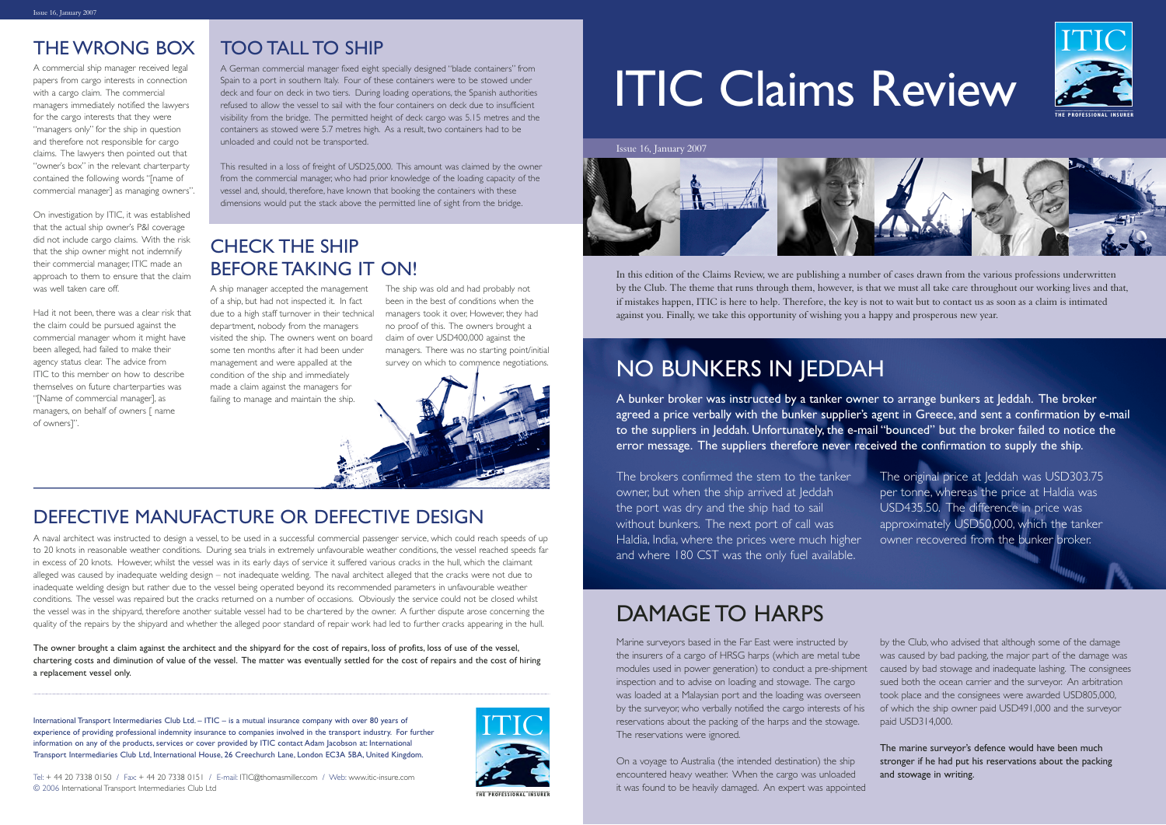# ITIC Claims Review

Marine surveyors based in the Far East were instructed by the insurers of a cargo of HRSG harps (which are metal tube modules used in power generation) to conduct a pre-shipment inspection and to advise on loading and stowage. The cargo was loaded at a Malaysian port and the loading was overseen by the surveyor, who verbally notified the cargo interests of his reservations about the packing of the harps and the stowage. The reservations were ignored. by the Club, who advised that although some of the damage was caused by bad packing, the major part of the damage was caused by bad stowage and inadequate lashing. The consignees sued both the ocean carrier and the surveyor. An arbitration took place and the consignees were awarded USD805,000, of which the ship owner paid USD491,000 and the surveyor paid USD314,000.

On a voyage to Australia (the intended destination) the ship encountered heavy weather. When the cargo was unloaded it was found to be heavily damaged. An expert was appointed



The marine surveyor's defence would have been much stronger if he had put his reservations about the packing and stowage in writing.

A ship manager accepted the management of a ship, but had not inspected it. In fact due to a high staff turnover in their technical managers took it over, However, they had department, nobody from the managers visited the ship. The owners went on board some ten months after it had been under management and were appalled at the condition of the ship and immediately made a claim against the managers for failing to manage and maintain the ship.

The ship was old and had probably not been in the best of conditions when the no proof of this. The owners brought a claim of over USD400,000 against the managers. There was no starting point/initial survey on which to commence negotiations.



Issue 16, January 2007



## DAMAGE TO HARPS

# NO BUNKERS IN JEDDAH

The brokers confirmed the stem to the tanker owner, but when the ship arrived at Jeddah the port was dry and the ship had to sail without bunkers. The next port of call was Haldia, India, where the prices were much higher and where 180 CST was the only fuel available. The original price at leddah was USD303.75 per tonne, whereas the price at Haldia was USD435.50. The difference in price was approximately USD50,000, which the tanker owner recovered from the bunker broker.

International Transport Intermediaries Club Ltd. – ITIC – is a mutual insurance company with over 80 years of experience of providing professional indemnity insurance to companies involved in the transport industry. For further information on any of the products, services or cover provided by ITIC contact Adam Jacobson at: International Transport Intermediaries Club Ltd, International House, 26 Creechurch Lane, London EC3A 5BA, United Kingdom.





**THE PROFESSIONAL INSURER**



**THE PROFESSIONAL INSURER**

In this edition of the Claims Review, we are publishing a number of cases drawn from the various professions underwritten by the Club. The theme that runs through them, however, is that we must all take care throughout our working lives and that, if mistakes happen, ITIC is here to help. Therefore, the key is not to wait but to contact us as soon as a claim is intimated against you. Finally, we take this opportunity of wishing you a happy and prosperous new year.

A naval architect was instructed to design a vessel, to be used in a successful commercial passenger service, which could reach speeds of up to 20 knots in reasonable weather conditions. During sea trials in extremely unfavourable weather conditions, the vessel reached speeds far in excess of 20 knots. However, whilst the vessel was in its early days of service it suffered various cracks in the hull, which the claimant alleged was caused by inadequate welding design – not inadequate welding. The naval architect alleged that the cracks were not due to inadequate welding design but rather due to the vessel being operated beyond its recommended parameters in unfavourable weather conditions. The vessel was repaired but the cracks returned on a number of occasions. Obviously the service could not be closed whilst the vessel was in the shipyard, therefore another suitable vessel had to be chartered by the owner. A further dispute arose concerning the quality of the repairs by the shipyard and whether the alleged poor standard of repair work had led to further cracks appearing in the hull.

The owner brought a claim against the architect and the shipyard for the cost of repairs, loss of profits, loss of use of the vessel, chartering costs and diminution of value of the vessel. The matter was eventually settled for the cost of repairs and the cost of hiring a replacement vessel only.

#### DEFECTIVE MANUFACTURE OR DEFECTIVE DESIGN

#### TOO TALL TO SHIP

A German commercial manager fixed eight specially designed "blade containers" from Spain to a port in southern Italy. Four of these containers were to be stowed under deck and four on deck in two tiers. During loading operations, the Spanish authorities refused to allow the vessel to sail with the four containers on deck due to insufficient visibility from the bridge. The permitted height of deck cargo was 5.15 metres and the containers as stowed were 5.7 metres high. As a result, two containers had to be unloaded and could not be transported.

This resulted in a loss of freight of USD25,000. This amount was claimed by the owner from the commercial manager, who had prior knowledge of the loading capacity of the vessel and, should, therefore, have known that booking the containers with these dimensions would put the stack above the permitted line of sight from the bridge.

A commercial ship manager received legal papers from cargo interests in connection with a cargo claim. The commercial managers immediately notified the lawyers for the cargo interests that they were "managers only" for the ship in question and therefore not responsible for cargo claims. The lawyers then pointed out that "owner's box" in the relevant charterparty contained the following words "[name of commercial manager] as managing owners".

On investigation by ITIC, it was established that the actual ship owner's P&I coverage did not include cargo claims. With the risk that the ship owner might not indemnify their commercial manager, ITIC made an approach to them to ensure that the claim was well taken care off.

Had it not been, there was a clear risk that the claim could be pursued against the commercial manager whom it might have been alleged, had failed to make their agency status clear. The advice from ITIC to this member on how to describe themselves on future charterparties was "[Name of commercial manager], as managers, on behalf of owners [ name of owners]".

#### CHECK THE SHIP BEFORE TAKING IT ON!

#### THE WRONG BOX

A bunker broker was instructed by a tanker owner to arrange bunkers at Jeddah. The broker agreed a price verbally with the bunker supplier's agent in Greece, and sent a confirmation by e-mail to the suppliers in Jeddah. Unfortunately, the e-mail "bounced" but the broker failed to notice the error message. The suppliers therefore never received the confirmation to supply the ship.